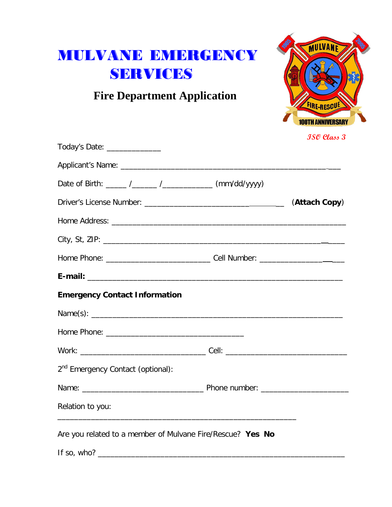# MULVANE EMERGENCY SERVICES

 **Fire Department Application**



| Today's Date: _______________                                                                                                        |  |
|--------------------------------------------------------------------------------------------------------------------------------------|--|
|                                                                                                                                      |  |
| Date of Birth: _____ /______ /_______ /_________ (mm/dd/yyyy)                                                                        |  |
|                                                                                                                                      |  |
|                                                                                                                                      |  |
|                                                                                                                                      |  |
|                                                                                                                                      |  |
|                                                                                                                                      |  |
| <b>Emergency Contact Information</b>                                                                                                 |  |
|                                                                                                                                      |  |
|                                                                                                                                      |  |
|                                                                                                                                      |  |
| 2 <sup>nd</sup> Emergency Contact (optional):                                                                                        |  |
|                                                                                                                                      |  |
| Relation to you:<br>and the control of the control of the control of the control of the control of the control of the control of the |  |
| Are you related to a member of Mulvane Fire/Rescue? Yes No                                                                           |  |
|                                                                                                                                      |  |

**ISO Class 3**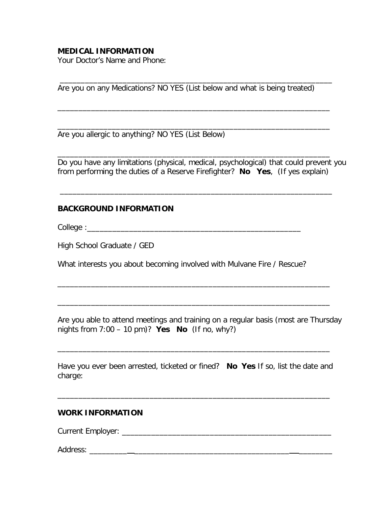### **MEDICAL INFORMATION**

Your Doctor's Name and Phone:

Are you on any Medications? NO YES (List below and what is being treated)

\_\_\_\_\_\_\_\_\_\_\_\_\_\_\_\_\_\_\_\_\_\_\_\_\_\_\_\_\_\_\_\_\_\_\_\_\_\_\_\_\_\_\_\_\_\_\_\_\_\_\_\_\_\_\_\_\_\_\_\_\_\_\_\_\_

\_\_\_\_\_\_\_\_\_\_\_\_\_\_\_\_\_\_\_\_\_\_\_\_\_\_\_\_\_\_\_\_\_\_\_\_\_\_\_\_\_\_\_\_\_\_\_\_\_\_\_\_\_\_\_\_\_\_\_\_\_\_\_\_\_

\_\_\_\_\_\_\_\_\_\_\_\_\_\_\_\_\_\_\_\_\_\_\_\_\_\_\_\_\_\_\_\_\_\_\_\_\_\_\_\_\_\_\_\_\_\_\_\_\_\_\_\_\_\_\_\_\_\_\_\_\_\_\_\_\_

\_\_\_\_\_\_\_\_\_\_\_\_\_\_\_\_\_\_\_\_\_\_\_\_\_\_\_\_\_\_\_\_\_\_\_\_\_\_\_\_\_\_\_\_\_\_\_\_\_\_\_\_\_\_\_\_\_\_\_\_\_\_\_\_\_

\_\_\_\_\_\_\_\_\_\_\_\_\_\_\_\_\_\_\_\_\_\_\_\_\_\_\_\_\_\_\_\_\_\_\_\_\_\_\_\_\_\_\_\_\_\_\_\_\_\_\_\_\_\_\_\_\_\_\_\_\_\_\_\_\_

Are you allergic to anything? NO YES (List Below)

Do you have any limitations (physical, medical, psychological) that could prevent you from performing the duties of a Reserve Firefighter? **No Yes**, (If yes explain)

## **BACKGROUND INFORMATION**

College :

High School Graduate / GED

What interests you about becoming involved with Mulvane Fire / Rescue?

Are you able to attend meetings and training on a regular basis (most are Thursday nights from 7:00 – 10 pm)? **Yes No** (If no, why?)

\_\_\_\_\_\_\_\_\_\_\_\_\_\_\_\_\_\_\_\_\_\_\_\_\_\_\_\_\_\_\_\_\_\_\_\_\_\_\_\_\_\_\_\_\_\_\_\_\_\_\_\_\_\_\_\_\_\_\_\_\_\_\_\_\_

\_\_\_\_\_\_\_\_\_\_\_\_\_\_\_\_\_\_\_\_\_\_\_\_\_\_\_\_\_\_\_\_\_\_\_\_\_\_\_\_\_\_\_\_\_\_\_\_\_\_\_\_\_\_\_\_\_\_\_\_\_\_\_\_\_

Have you ever been arrested, ticketed or fined? **No Yes** If so, list the date and charge:

\_\_\_\_\_\_\_\_\_\_\_\_\_\_\_\_\_\_\_\_\_\_\_\_\_\_\_\_\_\_\_\_\_\_\_\_\_\_\_\_\_\_\_\_\_\_\_\_\_\_\_\_\_\_\_\_\_\_\_\_\_\_\_\_\_

\_\_\_\_\_\_\_\_\_\_\_\_\_\_\_\_\_\_\_\_\_\_\_\_\_\_\_\_\_\_\_\_\_\_\_\_\_\_\_\_\_\_\_\_\_\_\_\_\_\_\_\_\_\_\_\_\_\_\_\_\_\_\_\_\_

#### **WORK INFORMATION**

Current Employer: \_\_\_\_\_\_\_\_\_\_\_\_\_\_\_\_\_\_\_\_\_\_\_\_\_\_\_\_\_\_\_\_\_\_\_\_\_\_\_\_\_\_\_\_\_\_\_\_\_\_

Address: \_\_\_\_\_\_\_\_\_ \_\_\_\_\_\_\_\_\_\_\_\_\_\_\_\_\_\_\_\_\_\_\_\_\_\_\_\_\_\_\_\_\_\_\_\_\_ \_\_\_\_\_\_\_\_